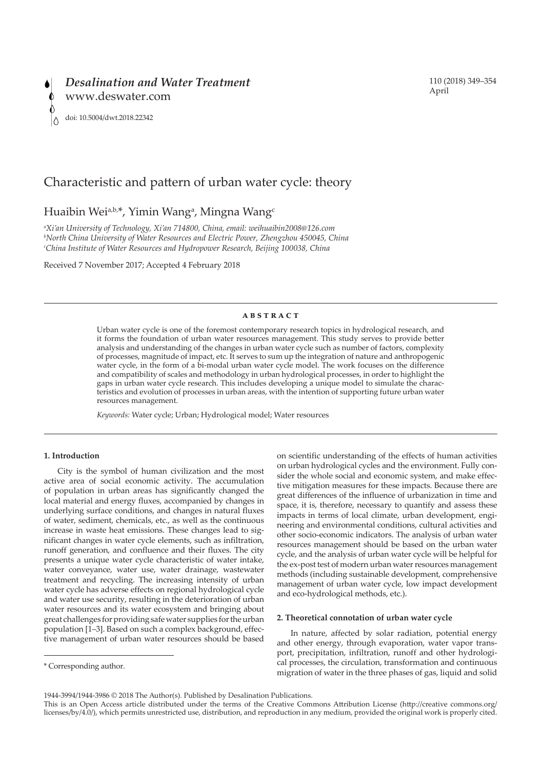

# 110 (2018) 349–354 April

# Characteristic and pattern of urban water cycle: theory

# Huaibin Wei<sup>a,b,\*</sup>, Yimin Wang<sup>a</sup>, Mingna Wang<sup>e</sup>

*a Xi'an University of Technology, Xi'an 714800, China, email: weihuaibin2008@126.com b North China University of Water Resources and Electric Power, Zhengzhou 450045, China c China Institute of Water Resources and Hydropower Research, Beijing 100038, China*

Received 7 November 2017; Accepted 4 February 2018

# **abstract**

Urban water cycle is one of the foremost contemporary research topics in hydrological research, and it forms the foundation of urban water resources management. This study serves to provide better analysis and understanding of the changes in urban water cycle such as number of factors, complexity of processes, magnitude of impact, etc. It serves to sum up the integration of nature and anthropogenic water cycle, in the form of a bi-modal urban water cycle model. The work focuses on the difference and compatibility of scales and methodology in urban hydrological processes, in order to highlight the gaps in urban water cycle research. This includes developing a unique model to simulate the characteristics and evolution of processes in urban areas, with the intention of supporting future urban water resources management.

*Keywords:* Water cycle; Urban; Hydrological model; Water resources

# **1. Introduction**

City is the symbol of human civilization and the most active area of social economic activity. The accumulation of population in urban areas has significantly changed the local material and energy fluxes, accompanied by changes in underlying surface conditions, and changes in natural fluxes of water, sediment, chemicals, etc., as well as the continuous increase in waste heat emissions. These changes lead to significant changes in water cycle elements, such as infiltration, runoff generation, and confluence and their fluxes. The city presents a unique water cycle characteristic of water intake, water conveyance, water use, water drainage, wastewater treatment and recycling. The increasing intensity of urban water cycle has adverse effects on regional hydrological cycle and water use security, resulting in the deterioration of urban water resources and its water ecosystem and bringing about great challenges for providing safe water supplies for the urban population [1–3]. Based on such a complex background, effective management of urban water resources should be based

on scientific understanding of the effects of human activities on urban hydrological cycles and the environment. Fully consider the whole social and economic system, and make effective mitigation measures for these impacts. Because there are great differences of the influence of urbanization in time and space, it is, therefore, necessary to quantify and assess these impacts in terms of local climate, urban development, engineering and environmental conditions, cultural activities and other socio-economic indicators. The analysis of urban water resources management should be based on the urban water cycle, and the analysis of urban water cycle will be helpful for the ex-post test of modern urban water resources management methods (including sustainable development, comprehensive management of urban water cycle, low impact development and eco-hydrological methods, etc.).

## **2. Theoretical connotation of urban water cycle**

In nature, affected by solar radiation, potential energy and other energy, through evaporation, water vapor transport, precipitation, infiltration, runoff and other hydrological processes, the circulation, transformation and continuous migration of water in the three phases of gas, liquid and solid

<sup>\*</sup> Corresponding author.

<sup>1944-3994/1944-3986 © 2018</sup> The Author(s). Published by Desalination Publications.

This is an Open Access article distributed under the terms of the Creative Commons Attribution License (http://creative commons.org/ licenses/by/4.0/), which permits unrestricted use, distribution, and reproduction in any medium, provided the original work is properly cited.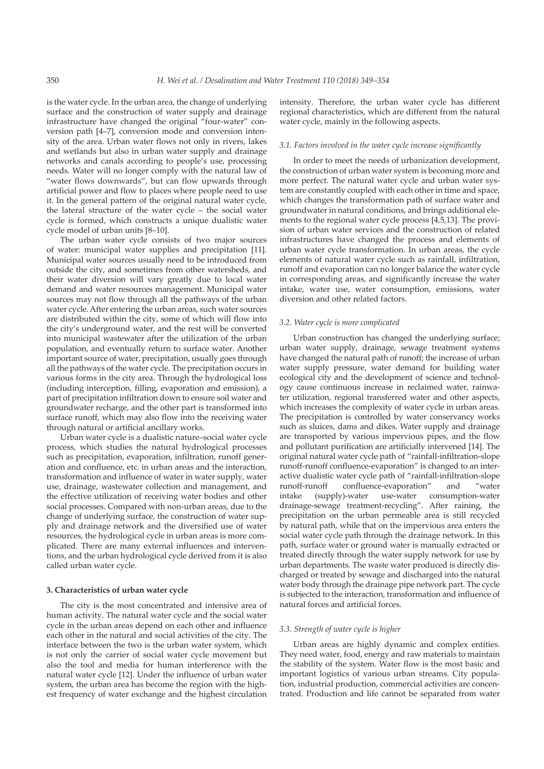is the water cycle. In the urban area, the change of underlying surface and the construction of water supply and drainage infrastructure have changed the original "four-water" conversion path [4–7], conversion mode and conversion intensity of the area. Urban water flows not only in rivers, lakes and wetlands but also in urban water supply and drainage networks and canals according to people's use, processing needs. Water will no longer comply with the natural law of "water flows downwards", but can flow upwards through artificial power and flow to places where people need to use it. In the general pattern of the original natural water cycle, the lateral structure of the water cycle – the social water cycle is formed, which constructs a unique dualistic water cycle model of urban units [8–10].

The urban water cycle consists of two major sources of water: municipal water supplies and precipitation [11]. Municipal water sources usually need to be introduced from outside the city, and sometimes from other watersheds, and their water diversion will vary greatly due to local water demand and water resources management. Municipal water sources may not flow through all the pathways of the urban water cycle. After entering the urban areas, such water sources are distributed within the city, some of which will flow into the city's underground water, and the rest will be converted into municipal wastewater after the utilization of the urban population, and eventually return to surface water. Another important source of water, precipitation, usually goes through all the pathways of the water cycle. The precipitation occurs in various forms in the city area. Through the hydrological loss (including interception, filling, evaporation and emission), a part of precipitation infiltration down to ensure soil water and groundwater recharge, and the other part is transformed into surface runoff, which may also flow into the receiving water through natural or artificial ancillary works.

Urban water cycle is a dualistic nature–social water cycle process, which studies the natural hydrological processes such as precipitation, evaporation, infiltration, runoff generation and confluence, etc. in urban areas and the interaction, transformation and influence of water in water supply, water use, drainage, wastewater collection and management, and the effective utilization of receiving water bodies and other social processes. Compared with non-urban areas, due to the change of underlying surface, the construction of water supply and drainage network and the diversified use of water resources, the hydrological cycle in urban areas is more complicated. There are many external influences and interventions, and the urban hydrological cycle derived from it is also called urban water cycle.

## **3. Characteristics of urban water cycle**

The city is the most concentrated and intensive area of human activity. The natural water cycle and the social water cycle in the urban areas depend on each other and influence each other in the natural and social activities of the city. The interface between the two is the urban water system, which is not only the carrier of social water cycle movement but also the tool and media for human interference with the natural water cycle [12]. Under the influence of urban water system, the urban area has become the region with the highest frequency of water exchange and the highest circulation

intensity. Therefore, the urban water cycle has different regional characteristics, which are different from the natural water cycle, mainly in the following aspects.

#### *3.1. Factors involved in the water cycle increase significantly*

In order to meet the needs of urbanization development, the construction of urban water system is becoming more and more perfect. The natural water cycle and urban water system are constantly coupled with each other in time and space, which changes the transformation path of surface water and groundwater in natural conditions, and brings additional elements to the regional water cycle process [4,5,13]. The provision of urban water services and the construction of related infrastructures have changed the process and elements of urban water cycle transformation. In urban areas, the cycle elements of natural water cycle such as rainfall, infiltration, runoff and evaporation can no longer balance the water cycle in corresponding areas, and significantly increase the water intake, water use, water consumption, emissions, water diversion and other related factors.

#### *3.2. Water cycle is more complicated*

Urban construction has changed the underlying surface; urban water supply, drainage, sewage treatment systems have changed the natural path of runoff; the increase of urban water supply pressure, water demand for building water ecological city and the development of science and technology cause continuous increase in reclaimed water, rainwater utilization, regional transferred water and other aspects, which increases the complexity of water cycle in urban areas. The precipitation is controlled by water conservancy works such as sluices, dams and dikes. Water supply and drainage are transported by various impervious pipes, and the flow and pollutant purification are artificially intervened [14]. The original natural water cycle path of "rainfall-infiltration-slope runoff-runoff confluence-evaporation" is changed to an interactive dualistic water cycle path of "rainfall-infiltration-slope runoff-runoff confluence-evaporation" and "water intake (supply)-water use-water consumption-water drainage-sewage treatment-recycling". After raining, the precipitation on the urban permeable area is still recycled by natural path, while that on the impervious area enters the social water cycle path through the drainage network. In this path, surface water or ground water is manually extracted or treated directly through the water supply network for use by urban departments. The waste water produced is directly discharged or treated by sewage and discharged into the natural water body through the drainage pipe network part. The cycle is subjected to the interaction, transformation and influence of natural forces and artificial forces.

### *3.3. Strength of water cycle is higher*

Urban areas are highly dynamic and complex entities. They need water, food, energy and raw materials to maintain the stability of the system. Water flow is the most basic and important logistics of various urban streams. City population, industrial production, commercial activities are concentrated. Production and life cannot be separated from water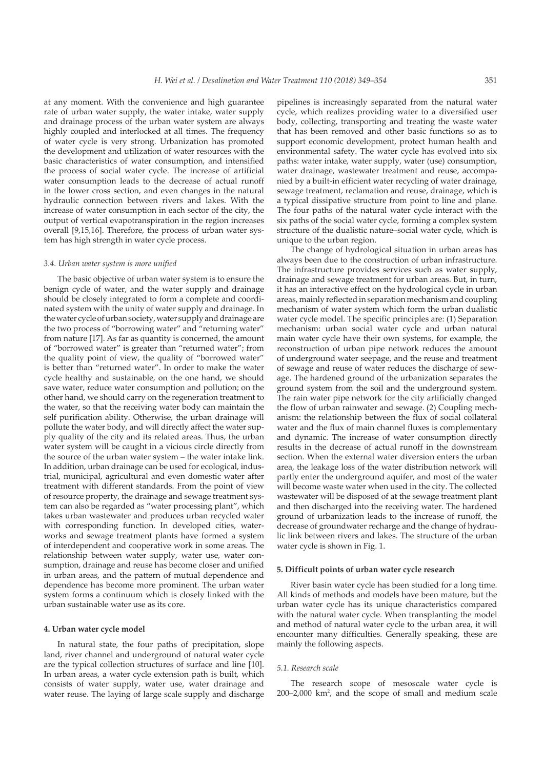at any moment. With the convenience and high guarantee rate of urban water supply, the water intake, water supply and drainage process of the urban water system are always highly coupled and interlocked at all times. The frequency of water cycle is very strong. Urbanization has promoted the development and utilization of water resources with the basic characteristics of water consumption, and intensified the process of social water cycle. The increase of artificial water consumption leads to the decrease of actual runoff in the lower cross section, and even changes in the natural hydraulic connection between rivers and lakes. With the increase of water consumption in each sector of the city, the output of vertical evapotranspiration in the region increases overall [9,15,16]. Therefore, the process of urban water system has high strength in water cycle process.

## *3.4. Urban water system is more unified*

The basic objective of urban water system is to ensure the benign cycle of water, and the water supply and drainage should be closely integrated to form a complete and coordinated system with the unity of water supply and drainage. In the water cycle of urban society, water supply and drainage are the two process of "borrowing water" and "returning water" from nature [17]. As far as quantity is concerned, the amount of "borrowed water" is greater than "returned water"; from the quality point of view, the quality of "borrowed water" is better than "returned water". In order to make the water cycle healthy and sustainable, on the one hand, we should save water, reduce water consumption and pollution; on the other hand, we should carry on the regeneration treatment to the water, so that the receiving water body can maintain the self purification ability. Otherwise, the urban drainage will pollute the water body, and will directly affect the water supply quality of the city and its related areas. Thus, the urban water system will be caught in a vicious circle directly from the source of the urban water system – the water intake link. In addition, urban drainage can be used for ecological, industrial, municipal, agricultural and even domestic water after treatment with different standards. From the point of view of resource property, the drainage and sewage treatment system can also be regarded as "water processing plant", which takes urban wastewater and produces urban recycled water with corresponding function. In developed cities, waterworks and sewage treatment plants have formed a system of interdependent and cooperative work in some areas. The relationship between water supply, water use, water consumption, drainage and reuse has become closer and unified in urban areas, and the pattern of mutual dependence and dependence has become more prominent. The urban water system forms a continuum which is closely linked with the urban sustainable water use as its core.

#### **4. Urban water cycle model**

In natural state, the four paths of precipitation, slope land, river channel and underground of natural water cycle are the typical collection structures of surface and line [10]. In urban areas, a water cycle extension path is built, which consists of water supply, water use, water drainage and water reuse. The laying of large scale supply and discharge pipelines is increasingly separated from the natural water cycle, which realizes providing water to a diversified user body, collecting, transporting and treating the waste water that has been removed and other basic functions so as to support economic development, protect human health and environmental safety. The water cycle has evolved into six paths: water intake, water supply, water (use) consumption, water drainage, wastewater treatment and reuse, accompanied by a built-in efficient water recycling of water drainage, sewage treatment, reclamation and reuse, drainage, which is a typical dissipative structure from point to line and plane. The four paths of the natural water cycle interact with the six paths of the social water cycle, forming a complex system structure of the dualistic nature–social water cycle, which is unique to the urban region.

The change of hydrological situation in urban areas has always been due to the construction of urban infrastructure. The infrastructure provides services such as water supply, drainage and sewage treatment for urban areas. But, in turn, it has an interactive effect on the hydrological cycle in urban areas, mainly reflected in separation mechanism and coupling mechanism of water system which form the urban dualistic water cycle model. The specific principles are: (1) Separation mechanism: urban social water cycle and urban natural main water cycle have their own systems, for example, the reconstruction of urban pipe network reduces the amount of underground water seepage, and the reuse and treatment of sewage and reuse of water reduces the discharge of sewage. The hardened ground of the urbanization separates the ground system from the soil and the underground system. The rain water pipe network for the city artificially changed the flow of urban rainwater and sewage. (2) Coupling mechanism: the relationship between the flux of social collateral water and the flux of main channel fluxes is complementary and dynamic. The increase of water consumption directly results in the decrease of actual runoff in the downstream section. When the external water diversion enters the urban area, the leakage loss of the water distribution network will partly enter the underground aquifer, and most of the water will become waste water when used in the city. The collected wastewater will be disposed of at the sewage treatment plant and then discharged into the receiving water. The hardened ground of urbanization leads to the increase of runoff, the decrease of groundwater recharge and the change of hydraulic link between rivers and lakes. The structure of the urban water cycle is shown in Fig. 1.

### **5. Difficult points of urban water cycle research**

River basin water cycle has been studied for a long time. All kinds of methods and models have been mature, but the urban water cycle has its unique characteristics compared with the natural water cycle. When transplanting the model and method of natural water cycle to the urban area, it will encounter many difficulties. Generally speaking, these are mainly the following aspects.

### *5.1. Research scale*

The research scope of mesoscale water cycle is  $200-2,000$  km<sup>2</sup>, and the scope of small and medium scale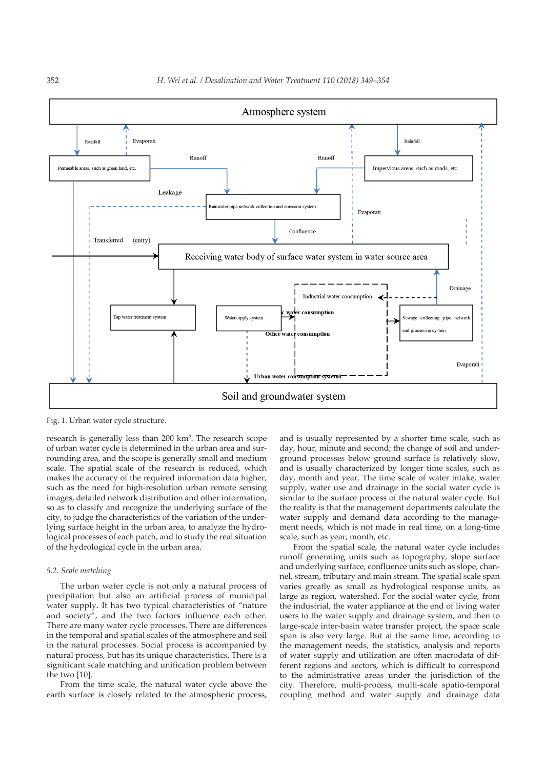

Fig. 1. Urban water cycle structure.

research is generally less than 200 km<sup>2</sup>. The research scope of urban water cycle is determined in the urban area and surrounding area, and the scope is generally small and medium scale. The spatial scale of the research is reduced, which makes the accuracy of the required information data higher, such as the need for high-resolution urban remote sensing images, detailed network distribution and other information, so as to classify and recognize the underlying surface of the city, to judge the characteristics of the variation of the underlying surface height in the urban area, to analyze the hydrological processes of each patch, and to study the real situation of the hydrological cycle in the urban area.

### *5.2. Scale matching*

The urban water cycle is not only a natural process of precipitation but also an artificial process of municipal water supply. It has two typical characteristics of "nature and society", and the two factors influence each other. There are many water cycle processes. There are differences in the temporal and spatial scales of the atmosphere and soil in the natural processes. Social process is accompanied by natural process, but has its unique characteristics. There is a significant scale matching and unification problem between the two [10].

From the time scale, the natural water cycle above the earth surface is closely related to the atmospheric process,

and is usually represented by a shorter time scale, such as day, hour, minute and second; the change of soil and underground processes below ground surface is relatively slow, and is usually characterized by longer time scales, such as day, month and year. The time scale of water intake, water supply, water use and drainage in the social water cycle is similar to the surface process of the natural water cycle. But the reality is that the management departments calculate the water supply and demand data according to the management needs, which is not made in real time, on a long-time scale, such as year, month, etc.

From the spatial scale, the natural water cycle includes runoff generating units such as topography, slope surface and underlying surface, confluence units such as slope, channel, stream, tributary and main stream. The spatial scale span varies greatly as small as hydrological response units, as large as region, watershed. For the social water cycle, from the industrial, the water appliance at the end of living water users to the water supply and drainage system, and then to large-scale inter-basin water transfer project, the space scale span is also very large. But at the same time, according to the management needs, the statistics, analysis and reports of water supply and utilization are often macrodata of different regions and sectors, which is difficult to correspond to the administrative areas under the jurisdiction of the city. Therefore, multi-process, multi-scale spatio-temporal coupling method and water supply and drainage data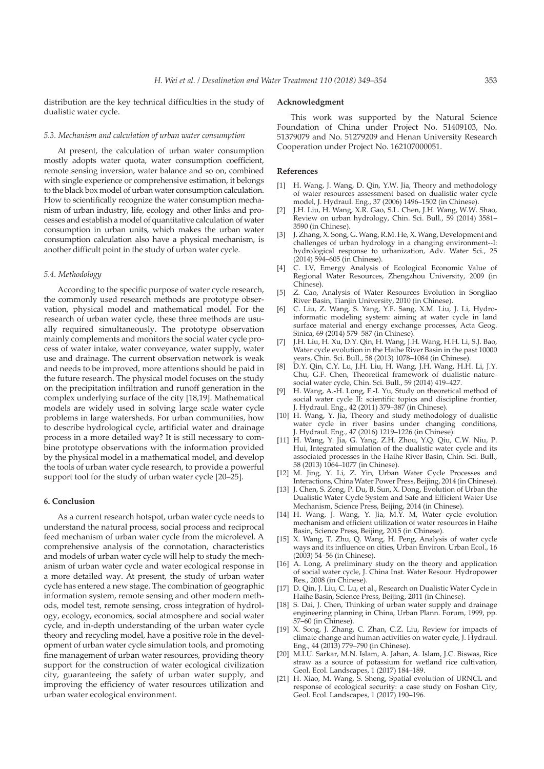distribution are the key technical difficulties in the study of dualistic water cycle.

# **Acknowledgment**

This work was supported by the Natural Science Foundation of China under Project No. 51409103, No. 51379079 and No. 51279209 and Henan University Research Cooperation under Project No. 162107000051.

## **References**

- [1] H. Wang, J. Wang, D. Qin, Y.W. Jia, Theory and methodology of water resources assessment based on dualistic water cycle model, J. Hydraul. Eng., 37 (2006) 1496–1502 (in Chinese).
- [2] J.H. Liu, H. Wang, X.R. Gao, S.L. Chen, J.H. Wang, W.W. Shao, Review on urban hydrology, Chin. Sci. Bull., 59 (2014) 3581– 3590 (in Chinese).
- J. Zhang, X. Song, G. Wang, R.M. He, X. Wang, Development and challenges of urban hydrology in a changing environment--I: hydrological response to urbanization, Adv. Water Sci., 25 (2014) 594–605 (in Chinese).
- [4] C. LV, Emergy Analysis of Ecological Economic Value of Regional Water Resources, Zhengzhou University, 2009 (in Chinese).
- [5] Z. Cao, Analysis of Water Resources Evolution in Songliao River Basin, Tianjin University, 2010 (in Chinese).
- [6] C. Liu, Z. Wang, S. Yang, Y.F. Sang, X.M. Liu, J. Li, Hydroinformatic modeling system: aiming at water cycle in land surface material and energy exchange processes, Acta Geog. Sinica, 69 (2014) 579–587 (in Chinese).
- [7] J.H. Liu, H. Xu, D.Y. Qin, H. Wang, J.H. Wang, H.H. Li, S.J. Bao, Water cycle evolution in the Haihe River Basin in the past 10000 years, Chin. Sci. Bull., 58 (2013) 1078–1084 (in Chinese).
- [8] D.Y. Qin, C.Y. Lu, J.H. Liu, H. Wang, J.H. Wang, H.H. Li, J.Y. Chu, G.F. Chen, Theoretical framework of dualistic naturesocial water cycle, Chin. Sci. Bull., 59 (2014) 419–427.
- [9] H. Wang, A.-H. Long, F.-I. Yu, Study on theoretical method of social water cycle II: scientific topics and discipline frontier, J. Hydraul. Eng., 42 (2011) 379–387 (in Chinese).
- [10] H. Wang, Y. Jia, Theory and study methodology of dualistic water cycle in river basins under changing conditions, J. Hydraul. Eng., 47 (2016) 1219–1226 (in Chinese).
- [11] H. Wang, Y. Jia, G. Yang, Z.H. Zhou, Y.Q. Qiu, C.W. Niu, P. Hui, Integrated simulation of the dualistic water cycle and its associated processes in the Haihe River Basin, Chin. Sci. Bull., 58 (2013) 1064–1077 (in Chinese).
- [12] M. Jing, Y. Li, Z. Yin, Urban Water Cycle Processes and Interactions, China Water Power Press, Beijing, 2014 (in Chinese).
- [13] J. Chen, S. Zeng, P. Du, B. Sun, X. Dong, Evolution of Urban the Dualistic Water Cycle System and Safe and Efficient Water Use Mechanism, Science Press, Beijing, 2014 (in Chinese).
- [14] H. Wang, J. Wang, Y. Jia, M.Y. M, Water cycle evolution mechanism and efficient utilization of water resources in Haihe Basin, Science Press, Beijing, 2015 (in Chinese).
- [15] X. Wang, T. Zhu, Q. Wang, H. Peng, Analysis of water cycle ways and its influence on cities, Urban Environ. Urban Ecol., 16 (2003) 54–56 (in Chinese).
- [16] A. Long, A preliminary study on the theory and application of social water cycle, J. China Inst. Water Resour. Hydropower Res., 2008 (in Chinese).
- [17] D. Qin, J. Liu, C. Lu, et al., Research on Dualistic Water Cycle in Haihe Basin, Science Press, Beijing, 2011 (in Chinese).
- [18] S. Dai, J. Chen, Thinking of urban water supply and drainage engineering planning in China, Urban Plann. Forum, 1999, pp. 57–60 (in Chinese).
- [19] X. Song, J. Zhang, C. Zhan, C.Z. Liu, Review for impacts of climate change and human activities on water cycle, J. Hydraul. Eng., 44 (2013) 779–790 (in Chinese).
- [20] M.I.U. Sarkar, M.N. Islam, A. Jahan, A. Islam, J.C. Biswas, Rice straw as a source of potassium for wetland rice cultivation, Geol. Ecol. Landscapes, 1 (2017) 184–189.
- [21] H. Xiao, M. Wang, S. Sheng, Spatial evolution of URNCL and response of ecological security: a case study on Foshan City, Geol. Ecol. Landscapes, 1 (2017) 190–196.

# *5.3. Mechanism and calculation of urban water consumption*

At present, the calculation of urban water consumption mostly adopts water quota, water consumption coefficient, remote sensing inversion, water balance and so on, combined with single experience or comprehensive estimation, it belongs to the black box model of urban water consumption calculation. How to scientifically recognize the water consumption mechanism of urban industry, life, ecology and other links and processes and establish a model of quantitative calculation of water consumption in urban units, which makes the urban water consumption calculation also have a physical mechanism, is another difficult point in the study of urban water cycle.

# *5.4. Methodology*

According to the specific purpose of water cycle research, the commonly used research methods are prototype observation, physical model and mathematical model. For the research of urban water cycle, these three methods are usually required simultaneously. The prototype observation mainly complements and monitors the social water cycle process of water intake, water conveyance, water supply, water use and drainage. The current observation network is weak and needs to be improved, more attentions should be paid in the future research. The physical model focuses on the study on the precipitation infiltration and runoff generation in the complex underlying surface of the city [18,19]. Mathematical models are widely used in solving large scale water cycle problems in large watersheds. For urban communities, how to describe hydrological cycle, artificial water and drainage process in a more detailed way? It is still necessary to combine prototype observations with the information provided by the physical model in a mathematical model, and develop the tools of urban water cycle research, to provide a powerful support tool for the study of urban water cycle [20–25].

### **6. Conclusion**

As a current research hotspot, urban water cycle needs to understand the natural process, social process and reciprocal feed mechanism of urban water cycle from the microlevel. A comprehensive analysis of the connotation, characteristics and models of urban water cycle will help to study the mechanism of urban water cycle and water ecological response in a more detailed way. At present, the study of urban water cycle has entered a new stage. The combination of geographic information system, remote sensing and other modern methods, model test, remote sensing, cross integration of hydrology, ecology, economics, social atmosphere and social water cycle, and in-depth understanding of the urban water cycle theory and recycling model, have a positive role in the development of urban water cycle simulation tools, and promoting fine management of urban water resources, providing theory support for the construction of water ecological civilization city, guaranteeing the safety of urban water supply, and improving the efficiency of water resources utilization and urban water ecological environment.